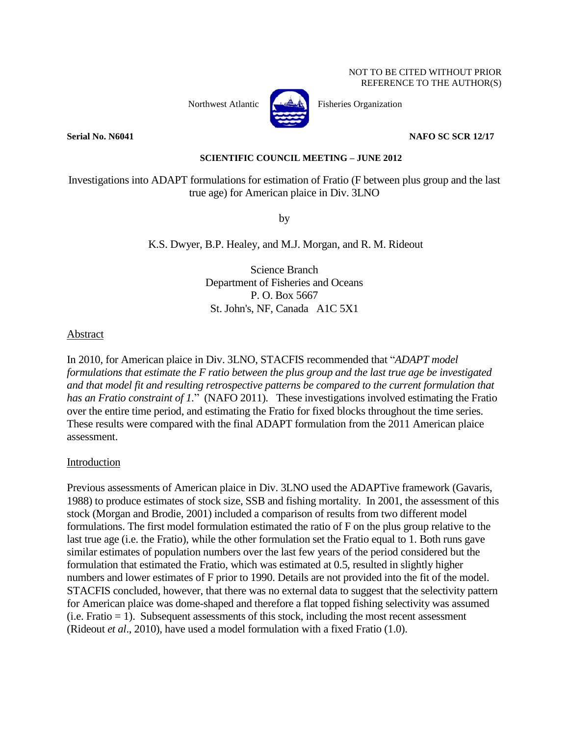Northwest Atlantic  $\left\{\begin{array}{c}\n\downarrow \downarrow \downarrow \downarrow \downarrow \quad \text{Fisheries Organization}\n\end{array}\right\}$ 



### **Serial No. N6041 NAFO SC SCR 12/17**

### **SCIENTIFIC COUNCIL MEETING – JUNE 2012**

Investigations into ADAPT formulations for estimation of Fratio (F between plus group and the last true age) for American plaice in Div. 3LNO

by

K.S. Dwyer, B.P. Healey, and M.J. Morgan, and R. M. Rideout

Science Branch Department of Fisheries and Oceans P. O. Box 5667 St. John's, NF, Canada A1C 5X1

### Abstract

In 2010, for American plaice in Div. 3LNO, STACFIS recommended that "*ADAPT model formulations that estimate the F ratio between the plus group and the last true age be investigated and that model fit and resulting retrospective patterns be compared to the current formulation that has an Fratio constraint of 1.*" (NAFO 2011). These investigations involved estimating the Fratio over the entire time period, and estimating the Fratio for fixed blocks throughout the time series. These results were compared with the final ADAPT formulation from the 2011 American plaice assessment.

#### Introduction

Previous assessments of American plaice in Div. 3LNO used the ADAPTive framework (Gavaris, 1988) to produce estimates of stock size, SSB and fishing mortality. In 2001, the assessment of this stock (Morgan and Brodie, 2001) included a comparison of results from two different model formulations. The first model formulation estimated the ratio of F on the plus group relative to the last true age (i.e. the Fratio), while the other formulation set the Fratio equal to 1. Both runs gave similar estimates of population numbers over the last few years of the period considered but the formulation that estimated the Fratio, which was estimated at 0.5, resulted in slightly higher numbers and lower estimates of F prior to 1990. Details are not provided into the fit of the model. STACFIS concluded, however, that there was no external data to suggest that the selectivity pattern for American plaice was dome-shaped and therefore a flat topped fishing selectivity was assumed  $(i.e. Fratio = 1)$ . Subsequent assessments of this stock, including the most recent assessment (Rideout *et al*., 2010), have used a model formulation with a fixed Fratio (1.0).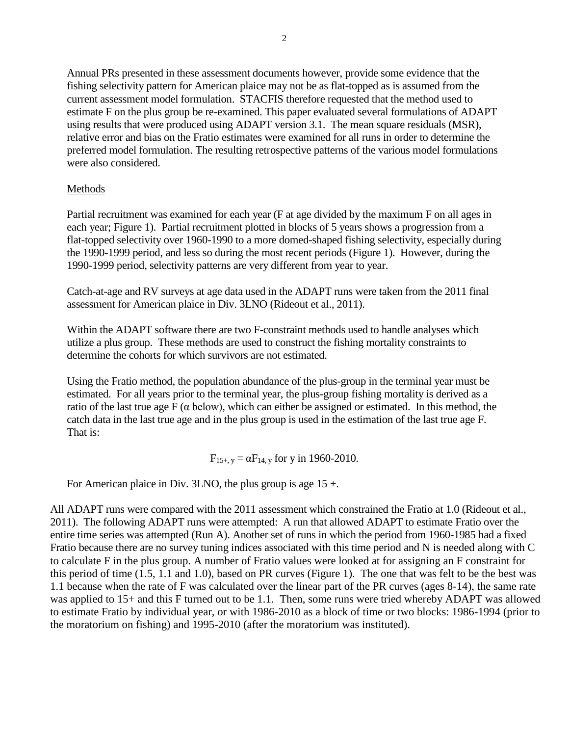Annual PRs presented in these assessment documents however, provide some evidence that the fishing selectivity pattern for American plaice may not be as flat-topped as is assumed from the current assessment model formulation. STACFIS therefore requested that the method used to estimate F on the plus group be re-examined. This paper evaluated several formulations of ADAPT using results that were produced using ADAPT version 3.1. The mean square residuals (MSR), relative error and bias on the Fratio estimates were examined for all runs in order to determine the preferred model formulation. The resulting retrospective patterns of the various model formulations were also considered.

# Methods

Partial recruitment was examined for each year (F at age divided by the maximum F on all ages in each year; Figure 1). Partial recruitment plotted in blocks of 5 years shows a progression from a flat-topped selectivity over 1960-1990 to a more domed-shaped fishing selectivity, especially during the 1990-1999 period, and less so during the most recent periods (Figure 1). However, during the 1990-1999 period, selectivity patterns are very different from year to year.

Catch-at-age and RV surveys at age data used in the ADAPT runs were taken from the 2011 final assessment for American plaice in Div. 3LNO (Rideout et al., 2011).

Within the ADAPT software there are two F-constraint methods used to handle analyses which utilize a plus group. These methods are used to construct the fishing mortality constraints to determine the cohorts for which survivors are not estimated.

Using the Fratio method, the population abundance of the plus-group in the terminal year must be estimated. For all years prior to the terminal year, the plus-group fishing mortality is derived as a ratio of the last true age  $F(\alpha \text{ below})$ , which can either be assigned or estimated. In this method, the catch data in the last true age and in the plus group is used in the estimation of the last true age F. That is:

$$
F_{15+, y} = \alpha F_{14, y}
$$
 for y in 1960-2010.

For American plaice in Div. 3LNO, the plus group is age 15 +.

All ADAPT runs were compared with the 2011 assessment which constrained the Fratio at 1.0 (Rideout et al., 2011). The following ADAPT runs were attempted: A run that allowed ADAPT to estimate Fratio over the entire time series was attempted (Run A). Another set of runs in which the period from 1960-1985 had a fixed Fratio because there are no survey tuning indices associated with this time period and N is needed along with C to calculate F in the plus group. A number of Fratio values were looked at for assigning an F constraint for this period of time (1.5, 1.1 and 1.0), based on PR curves (Figure 1). The one that was felt to be the best was 1.1 because when the rate of F was calculated over the linear part of the PR curves (ages 8-14), the same rate was applied to 15+ and this F turned out to be 1.1. Then, some runs were tried whereby ADAPT was allowed to estimate Fratio by individual year, or with 1986-2010 as a block of time or two blocks: 1986-1994 (prior to the moratorium on fishing) and 1995-2010 (after the moratorium was instituted).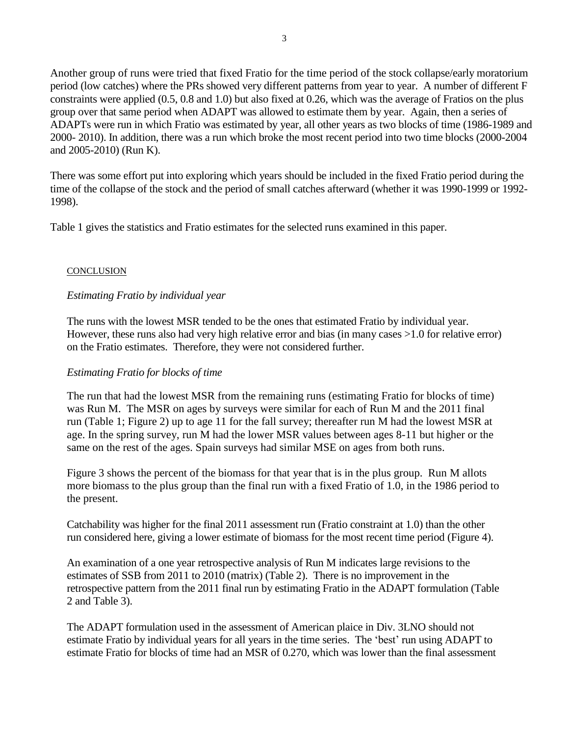Another group of runs were tried that fixed Fratio for the time period of the stock collapse/early moratorium period (low catches) where the PRs showed very different patterns from year to year. A number of different F constraints were applied (0.5, 0.8 and 1.0) but also fixed at 0.26, which was the average of Fratios on the plus group over that same period when ADAPT was allowed to estimate them by year. Again, then a series of ADAPTs were run in which Fratio was estimated by year, all other years as two blocks of time (1986-1989 and 2000- 2010). In addition, there was a run which broke the most recent period into two time blocks (2000-2004 and 2005-2010) (Run K).

There was some effort put into exploring which years should be included in the fixed Fratio period during the time of the collapse of the stock and the period of small catches afterward (whether it was 1990-1999 or 1992- 1998).

Table 1 gives the statistics and Fratio estimates for the selected runs examined in this paper.

## **CONCLUSION**

## *Estimating Fratio by individual year*

The runs with the lowest MSR tended to be the ones that estimated Fratio by individual year. However, these runs also had very high relative error and bias (in many cases >1.0 for relative error) on the Fratio estimates. Therefore, they were not considered further.

## *Estimating Fratio for blocks of time*

The run that had the lowest MSR from the remaining runs (estimating Fratio for blocks of time) was Run M. The MSR on ages by surveys were similar for each of Run M and the 2011 final run (Table 1; Figure 2) up to age 11 for the fall survey; thereafter run M had the lowest MSR at age. In the spring survey, run M had the lower MSR values between ages 8-11 but higher or the same on the rest of the ages. Spain surveys had similar MSE on ages from both runs.

Figure 3 shows the percent of the biomass for that year that is in the plus group. Run M allots more biomass to the plus group than the final run with a fixed Fratio of 1.0, in the 1986 period to the present.

Catchability was higher for the final 2011 assessment run (Fratio constraint at 1.0) than the other run considered here, giving a lower estimate of biomass for the most recent time period (Figure 4).

An examination of a one year retrospective analysis of Run M indicates large revisions to the estimates of SSB from 2011 to 2010 (matrix) (Table 2). There is no improvement in the retrospective pattern from the 2011 final run by estimating Fratio in the ADAPT formulation (Table 2 and Table 3).

The ADAPT formulation used in the assessment of American plaice in Div. 3LNO should not estimate Fratio by individual years for all years in the time series. The 'best' run using ADAPT to estimate Fratio for blocks of time had an MSR of 0.270, which was lower than the final assessment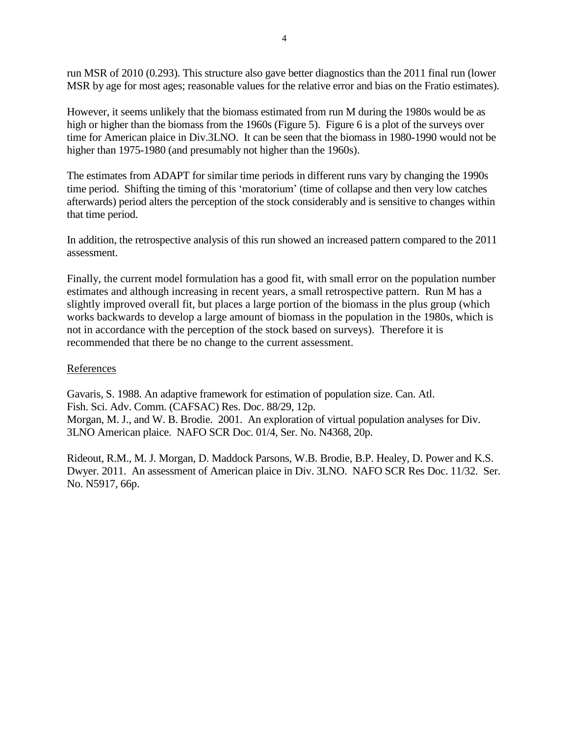run MSR of 2010 (0.293). This structure also gave better diagnostics than the 2011 final run (lower MSR by age for most ages; reasonable values for the relative error and bias on the Fratio estimates).

However, it seems unlikely that the biomass estimated from run M during the 1980s would be as high or higher than the biomass from the 1960s (Figure 5). Figure 6 is a plot of the surveys over time for American plaice in Div.3LNO. It can be seen that the biomass in 1980-1990 would not be higher than 1975-1980 (and presumably not higher than the 1960s).

The estimates from ADAPT for similar time periods in different runs vary by changing the 1990s time period. Shifting the timing of this 'moratorium' (time of collapse and then very low catches afterwards) period alters the perception of the stock considerably and is sensitive to changes within that time period.

In addition, the retrospective analysis of this run showed an increased pattern compared to the 2011 assessment.

Finally, the current model formulation has a good fit, with small error on the population number estimates and although increasing in recent years, a small retrospective pattern. Run M has a slightly improved overall fit, but places a large portion of the biomass in the plus group (which works backwards to develop a large amount of biomass in the population in the 1980s, which is not in accordance with the perception of the stock based on surveys). Therefore it is recommended that there be no change to the current assessment.

## References

Gavaris, S. 1988. An adaptive framework for estimation of population size. Can. Atl. Fish. Sci. Adv. Comm. (CAFSAC) Res. Doc. 88/29, 12p. Morgan, M. J., and W. B. Brodie. 2001. An exploration of virtual population analyses for Div. 3LNO American plaice. NAFO SCR Doc. 01/4, Ser. No. N4368, 20p.

Rideout, R.M., M. J. Morgan, D. Maddock Parsons, W.B. Brodie, B.P. Healey, D. Power and K.S. Dwyer. 2011. An assessment of American plaice in Div. 3LNO. NAFO SCR Res Doc. 11/32. Ser. No. N5917, 66p.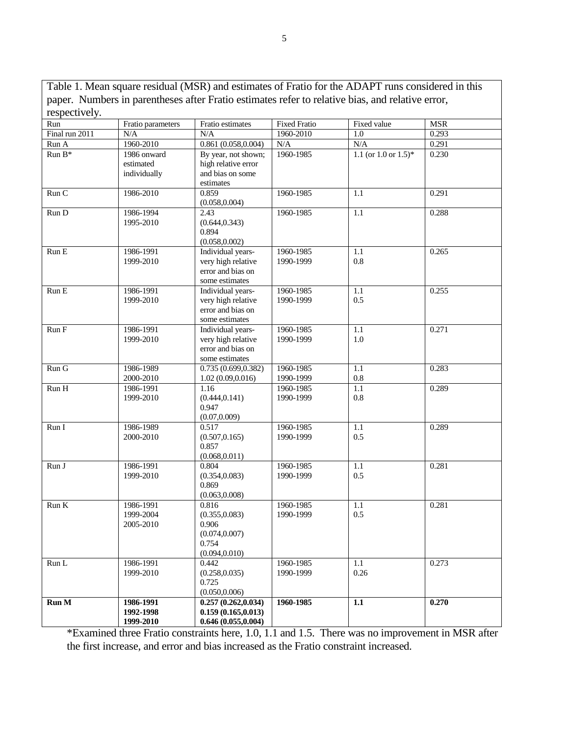Table 1. Mean square residual (MSR) and estimates of Fratio for the ADAPT runs considered in this paper. Numbers in parentheses after Fratio estimates refer to relative bias, and relative error, rer =<br>reconectively

| ICSPCCUVCIY.   |                          |                                         |                        |                           |                |
|----------------|--------------------------|-----------------------------------------|------------------------|---------------------------|----------------|
| Run            | Fratio parameters        | Fratio estimates                        | <b>Fixed Fratio</b>    | Fixed value               | <b>MSR</b>     |
| Final run 2011 | N/A<br>1960-2010         | N/A<br>0.861(0.058, 0.004)              | 1960-2010<br>N/A       | 1.0<br>N/A                | 0.293<br>0.291 |
| Run A          |                          |                                         |                        |                           |                |
| $Run B*$       | 1986 onward<br>estimated | By year, not shown;                     | 1960-1985              | 1.1 (or $1.0$ or $1.5$ )* | 0.230          |
|                |                          | high relative error<br>and bias on some |                        |                           |                |
|                | individually             | estimates                               |                        |                           |                |
| Run C          | 1986-2010                | 0.859                                   | 1960-1985              | 1.1                       | 0.291          |
|                |                          | (0.058, 0.004)                          |                        |                           |                |
| Run D          | 1986-1994                | 2.43                                    | 1960-1985              | 1.1                       | 0.288          |
|                | 1995-2010                | (0.644, 0.343)                          |                        |                           |                |
|                |                          | 0.894                                   |                        |                           |                |
|                |                          | (0.058, 0.002)                          |                        |                           |                |
| Run E          | 1986-1991                | Individual years-                       | 1960-1985              | 1.1                       | 0.265          |
|                | 1999-2010                | very high relative                      | 1990-1999              | 0.8                       |                |
|                |                          | error and bias on                       |                        |                           |                |
|                |                          | some estimates                          |                        |                           |                |
| Run E          | 1986-1991                | Individual years-                       | 1960-1985              | 1.1                       | 0.255          |
|                | 1999-2010                | very high relative                      | 1990-1999              | 0.5                       |                |
|                |                          | error and bias on                       |                        |                           |                |
|                |                          | some estimates                          |                        |                           |                |
| Run F          | 1986-1991                | Individual years-                       | 1960-1985              | 1.1                       | 0.271          |
|                | 1999-2010                | very high relative                      | 1990-1999              | 1.0                       |                |
|                |                          | error and bias on                       |                        |                           |                |
|                |                          | some estimates                          |                        |                           |                |
| Run G          | 1986-1989                | 0.735(0.699, 0.382)                     | 1960-1985              | 1.1                       | 0.283          |
|                | 2000-2010                | 1.02(0.09, 0.016)                       | 1990-1999              | $0.8\,$                   |                |
| Run H          | 1986-1991                | 1.16                                    | 1960-1985              | 1.1                       | 0.289          |
|                | 1999-2010                | (0.444, 0.141)                          | 1990-1999              | $0.8\,$                   |                |
|                |                          | 0.947                                   |                        |                           |                |
|                |                          | (0.07, 0.009)                           |                        |                           |                |
| Run I          | 1986-1989                | 0.517                                   | 1960-1985              | 1.1                       | 0.289          |
|                | 2000-2010                | (0.507, 0.165)                          | 1990-1999              | 0.5                       |                |
|                |                          | 0.857                                   |                        |                           |                |
|                |                          | (0.068, 0.011)                          |                        |                           |                |
| Run J          | 1986-1991<br>1999-2010   | 0.804                                   | 1960-1985<br>1990-1999 | 1.1<br>0.5                | 0.281          |
|                |                          | (0.354, 0.083)<br>0.869                 |                        |                           |                |
|                |                          | (0.063, 0.008)                          |                        |                           |                |
| Run K          | 1986-1991                | 0.816                                   | 1960-1985              | $1.1\,$                   | 0.281          |
|                | 1999-2004                | (0.355, 0.083)                          | 1990-1999              | 0.5                       |                |
|                | 2005-2010                | 0.906                                   |                        |                           |                |
|                |                          | (0.074, 0.007)                          |                        |                           |                |
|                |                          | 0.754                                   |                        |                           |                |
|                |                          | (0.094, 0.010)                          |                        |                           |                |
| Run L          | 1986-1991                | 0.442                                   | 1960-1985              | 1.1                       | 0.273          |
|                | 1999-2010                | (0.258, 0.035)                          | 1990-1999              | 0.26                      |                |
|                |                          | 0.725                                   |                        |                           |                |
|                |                          | (0.050, 0.006)                          |                        |                           |                |
| <b>Run M</b>   | 1986-1991                | 0.257(0.262, 0.034)                     | 1960-1985              | 1.1                       | 0.270          |
|                | 1992-1998                | 0.159(0.165, 0.013)                     |                        |                           |                |
|                | 1999-2010                | 0.646(0.055, 0.004)                     |                        |                           |                |

\*Examined three Fratio constraints here, 1.0, 1.1 and 1.5. There was no improvement in MSR after the first increase, and error and bias increased as the Fratio constraint increased.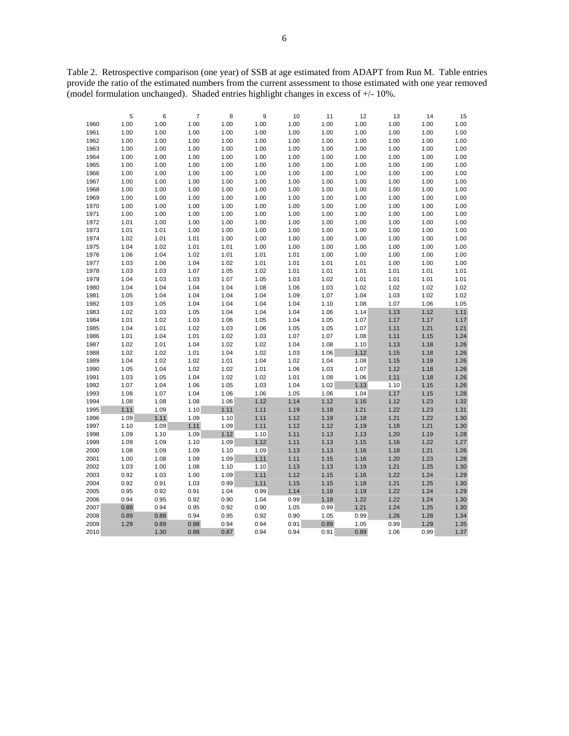Table 2. Retrospective comparison (one year) of SSB at age estimated from ADAPT from Run M. Table entries provide the ratio of the estimated numbers from the current assessment to those estimated with one year removed (model formulation unchanged). Shaded entries highlight changes in excess of +/- 10%.

|      | 5    | 6    | $\overline{\mathbf{7}}$ | 8    | 9    | 10   | 11   | 12   | 13   | 14   | 15   |
|------|------|------|-------------------------|------|------|------|------|------|------|------|------|
| 1960 | 1.00 | 1.00 | 1.00                    | 1.00 | 1.00 | 1.00 | 1.00 | 1.00 | 1.00 | 1.00 | 1.00 |
| 1961 | 1.00 | 1.00 | 1.00                    | 1.00 | 1.00 | 1.00 | 1.00 | 1.00 | 1.00 | 1.00 | 1.00 |
| 1962 | 1.00 | 1.00 | 1.00                    | 1.00 | 1.00 | 1.00 | 1.00 | 1.00 | 1.00 | 1.00 | 1.00 |
| 1963 | 1.00 | 1.00 | 1.00                    | 1.00 | 1.00 | 1.00 | 1.00 | 1.00 | 1.00 | 1.00 | 1.00 |
| 1964 | 1.00 | 1.00 | 1.00                    | 1.00 | 1.00 | 1.00 | 1.00 | 1.00 | 1.00 | 1.00 | 1.00 |
| 1965 | 1.00 | 1.00 | 1.00                    | 1.00 | 1.00 | 1.00 | 1.00 | 1.00 | 1.00 | 1.00 | 1.00 |
| 1966 | 1.00 | 1.00 | 1.00                    | 1.00 | 1.00 | 1.00 | 1.00 | 1.00 | 1.00 | 1.00 | 1.00 |
| 1967 | 1.00 | 1.00 | 1.00                    | 1.00 | 1.00 | 1.00 | 1.00 | 1.00 | 1.00 | 1.00 | 1.00 |
| 1968 | 1.00 | 1.00 | 1.00                    | 1.00 | 1.00 | 1.00 | 1.00 | 1.00 | 1.00 | 1.00 | 1.00 |
| 1969 | 1.00 | 1.00 | 1.00                    | 1.00 | 1.00 | 1.00 | 1.00 | 1.00 | 1.00 | 1.00 | 1.00 |
| 1970 | 1.00 | 1.00 | 1.00                    | 1.00 | 1.00 | 1.00 | 1.00 | 1.00 | 1.00 | 1.00 | 1.00 |
| 1971 | 1.00 | 1.00 | 1.00                    | 1.00 | 1.00 | 1.00 | 1.00 | 1.00 | 1.00 | 1.00 | 1.00 |
| 1972 | 1.01 | 1.00 | 1.00                    | 1.00 | 1.00 | 1.00 | 1.00 | 1.00 | 1.00 | 1.00 | 1.00 |
| 1973 | 1.01 | 1.01 | 1.00                    | 1.00 | 1.00 | 1.00 | 1.00 | 1.00 | 1.00 | 1.00 | 1.00 |
| 1974 | 1.02 | 1.01 | 1.01                    | 1.00 | 1.00 | 1.00 | 1.00 | 1.00 | 1.00 | 1.00 | 1.00 |
| 1975 | 1.04 | 1.02 | 1.01                    | 1.01 | 1.00 | 1.00 | 1.00 | 1.00 | 1.00 | 1.00 | 1.00 |
| 1976 | 1.06 | 1.04 | 1.02                    | 1.01 | 1.01 | 1.01 | 1.00 | 1.00 | 1.00 | 1.00 | 1.00 |
| 1977 | 1.03 | 1.06 | 1.04                    | 1.02 | 1.01 | 1.01 | 1.01 | 1.01 | 1.00 | 1.00 | 1.00 |
| 1978 | 1.03 | 1.03 | 1.07                    | 1.05 | 1.02 | 1.01 | 1.01 | 1.01 | 1.01 | 1.01 | 1.01 |
| 1979 | 1.04 | 1.03 | 1.03                    | 1.07 | 1.05 | 1.03 | 1.02 | 1.01 | 1.01 | 1.01 | 1.01 |
| 1980 | 1.04 | 1.04 | 1.04                    | 1.04 | 1.08 | 1.06 | 1.03 | 1.02 | 1.02 | 1.02 | 1.02 |
| 1981 | 1.05 | 1.04 | 1.04                    | 1.04 | 1.04 | 1.09 | 1.07 | 1.04 | 1.03 | 1.02 | 1.02 |
| 1982 | 1.03 | 1.05 | 1.04                    | 1.04 | 1.04 | 1.04 | 1.10 | 1.08 | 1.07 | 1.06 | 1.05 |
| 1983 | 1.02 | 1.03 | 1.05                    | 1.04 | 1.04 | 1.04 | 1.06 | 1.14 | 1.13 | 1.12 | 1.11 |
| 1984 | 1.01 | 1.02 | 1.03                    | 1.06 | 1.05 | 1.04 | 1.05 | 1.07 | 1.17 | 1.17 | 1.17 |
| 1985 | 1.04 | 1.01 | 1.02                    | 1.03 | 1.06 | 1.05 | 1.05 | 1.07 | 1.11 | 1.21 | 1.21 |
| 1986 | 1.01 | 1.04 | 1.01                    | 1.02 | 1.03 | 1.07 | 1.07 | 1.08 | 1.11 | 1.15 | 1.24 |
| 1987 | 1.02 | 1.01 | 1.04                    | 1.02 | 1.02 | 1.04 | 1.08 | 1.10 | 1.13 | 1.18 | 1.26 |
| 1988 | 1.02 | 1.02 | 1.01                    | 1.04 | 1.02 | 1.03 | 1.06 | 1.12 | 1.15 | 1.18 | 1.26 |
| 1989 | 1.04 | 1.02 | 1.02                    | 1.01 | 1.04 | 1.02 | 1.04 | 1.08 | 1.15 | 1.19 | 1.26 |
| 1990 | 1.05 | 1.04 | 1.02                    | 1.02 | 1.01 | 1.06 | 1.03 | 1.07 | 1.12 | 1.18 | 1.26 |
| 1991 | 1.03 | 1.05 | 1.04                    | 1.02 | 1.02 | 1.01 | 1.08 | 1.06 | 1.11 | 1.18 | 1.26 |
| 1992 | 1.07 | 1.04 | 1.06                    | 1.05 | 1.03 | 1.04 | 1.02 | 1.13 | 1.10 | 1.15 | 1.26 |
| 1993 | 1.08 | 1.07 | 1.04                    | 1.06 | 1.06 | 1.05 | 1.06 | 1.04 | 1.17 | 1.15 | 1.28 |
| 1994 | 1.08 | 1.08 | 1.08                    | 1.06 | 1.12 | 1.14 | 1.12 | 1.16 | 1.12 | 1.23 | 1.32 |
| 1995 | 1.11 | 1.09 | 1.10                    | 1.11 | 1.11 | 1.19 | 1.18 | 1.21 | 1.22 | 1.23 | 1.31 |
| 1996 | 1.09 | 1.11 | 1.09                    | 1.10 | 1.11 | 1.12 | 1.19 | 1.18 | 1.21 | 1.22 | 1.30 |
| 1997 | 1.10 | 1.09 | 1.11                    | 1.09 | 1.11 | 1.12 | 1.12 | 1.19 | 1.18 | 1.21 | 1.30 |
| 1998 | 1.09 | 1.10 | 1.09                    | 1.12 | 1.10 | 1.11 | 1.13 | 1.13 | 1.20 | 1.19 | 1.28 |
| 1999 | 1.09 | 1.09 | 1.10                    | 1.09 | 1.12 | 1.11 | 1.13 | 1.15 | 1.16 | 1.22 | 1.27 |
| 2000 | 1.08 | 1.09 | 1.09                    | 1.10 | 1.09 | 1.13 | 1.13 | 1.16 | 1.18 | 1.21 | 1.26 |
| 2001 | 1.00 | 1.08 | 1.09                    | 1.09 | 1.11 | 1.11 | 1.15 | 1.16 | 1.20 | 1.23 | 1.28 |
| 2002 | 1.03 | 1.00 | 1.08                    | 1.10 | 1.10 | 1.13 | 1.13 | 1.19 | 1.21 | 1.25 | 1.30 |
| 2003 | 0.92 | 1.03 | 1.00                    | 1.09 | 1.11 | 1.12 | 1.15 | 1.16 | 1.22 | 1.24 | 1.29 |
| 2004 | 0.92 | 0.91 | 1.03                    | 0.99 | 1.11 | 1.15 | 1.15 | 1.18 | 1.21 | 1.25 | 1.30 |
| 2005 | 0.95 | 0.92 | 0.91                    | 1.04 | 0.99 | 1.14 | 1.18 | 1.19 | 1.22 | 1.24 | 1.29 |
| 2006 | 0.94 | 0.95 | 0.92                    | 0.90 | 1.04 | 0.99 | 1.18 | 1.22 | 1.22 | 1.24 | 1.30 |
| 2007 | 0.88 | 0.94 | 0.95                    | 0.92 | 0.90 | 1.05 | 0.99 | 1.21 | 1.24 | 1.25 | 1.30 |
| 2008 | 0.89 | 0.88 | 0.94                    | 0.95 | 0.92 | 0.90 | 1.05 | 0.99 | 1.26 | 1.28 | 1.34 |
| 2009 | 1.29 | 0.89 | 0.88                    | 0.94 | 0.94 | 0.91 | 0.89 | 1.05 | 0.99 | 1.29 | 1.35 |
| 2010 |      | 1.30 | 0.88                    | 0.87 | 0.94 | 0.94 | 0.91 | 0.89 | 1.06 | 0.99 | 1.37 |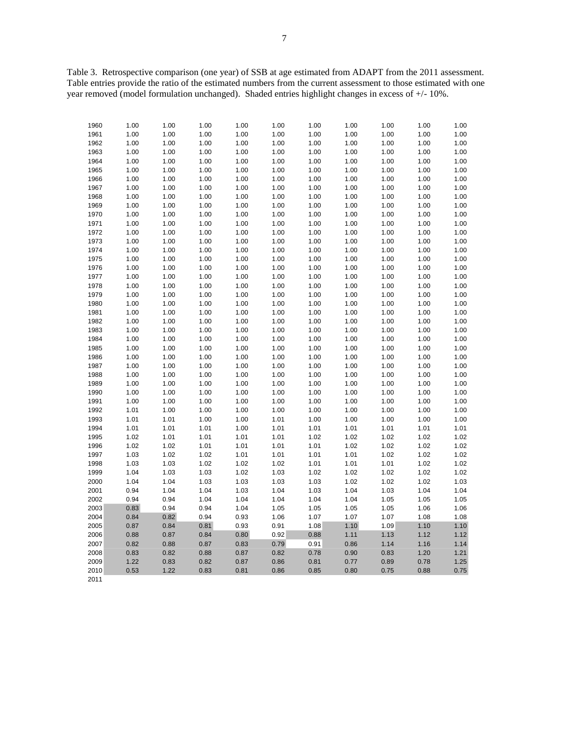Table 3. Retrospective comparison (one year) of SSB at age estimated from ADAPT from the 2011 assessment. Table entries provide the ratio of the estimated numbers from the current assessment to those estimated with one year removed (model formulation unchanged). Shaded entries highlight changes in excess of +/- 10%.

| 1960 | 1.00 | 1.00 | 1.00 | 1.00 | 1.00 | 1.00 | 1.00 | 1.00 | 1.00 | 1.00 |
|------|------|------|------|------|------|------|------|------|------|------|
| 1961 | 1.00 | 1.00 | 1.00 | 1.00 | 1.00 | 1.00 | 1.00 | 1.00 | 1.00 | 1.00 |
| 1962 | 1.00 | 1.00 | 1.00 | 1.00 | 1.00 | 1.00 | 1.00 | 1.00 | 1.00 | 1.00 |
| 1963 | 1.00 | 1.00 | 1.00 | 1.00 | 1.00 | 1.00 | 1.00 | 1.00 | 1.00 | 1.00 |
| 1964 | 1.00 | 1.00 | 1.00 | 1.00 | 1.00 | 1.00 | 1.00 | 1.00 | 1.00 | 1.00 |
| 1965 | 1.00 | 1.00 | 1.00 | 1.00 | 1.00 | 1.00 | 1.00 | 1.00 | 1.00 | 1.00 |
| 1966 | 1.00 | 1.00 | 1.00 | 1.00 | 1.00 | 1.00 | 1.00 | 1.00 | 1.00 | 1.00 |
| 1967 | 1.00 | 1.00 | 1.00 | 1.00 | 1.00 | 1.00 | 1.00 | 1.00 | 1.00 | 1.00 |
| 1968 | 1.00 | 1.00 | 1.00 | 1.00 | 1.00 | 1.00 | 1.00 | 1.00 | 1.00 | 1.00 |
| 1969 | 1.00 | 1.00 | 1.00 | 1.00 | 1.00 | 1.00 | 1.00 | 1.00 | 1.00 | 1.00 |
| 1970 | 1.00 | 1.00 | 1.00 | 1.00 | 1.00 | 1.00 | 1.00 | 1.00 | 1.00 | 1.00 |
| 1971 | 1.00 | 1.00 | 1.00 | 1.00 | 1.00 | 1.00 | 1.00 | 1.00 | 1.00 | 1.00 |
| 1972 | 1.00 | 1.00 | 1.00 | 1.00 | 1.00 | 1.00 | 1.00 | 1.00 | 1.00 | 1.00 |
| 1973 | 1.00 | 1.00 | 1.00 | 1.00 | 1.00 | 1.00 | 1.00 | 1.00 | 1.00 | 1.00 |
| 1974 | 1.00 | 1.00 | 1.00 | 1.00 | 1.00 | 1.00 | 1.00 | 1.00 | 1.00 | 1.00 |
| 1975 | 1.00 | 1.00 | 1.00 | 1.00 | 1.00 | 1.00 | 1.00 | 1.00 | 1.00 | 1.00 |
| 1976 | 1.00 | 1.00 | 1.00 | 1.00 | 1.00 | 1.00 | 1.00 | 1.00 | 1.00 | 1.00 |
| 1977 | 1.00 | 1.00 | 1.00 | 1.00 | 1.00 | 1.00 | 1.00 | 1.00 | 1.00 | 1.00 |
| 1978 | 1.00 | 1.00 | 1.00 | 1.00 | 1.00 | 1.00 | 1.00 | 1.00 | 1.00 | 1.00 |
| 1979 | 1.00 | 1.00 | 1.00 | 1.00 | 1.00 | 1.00 | 1.00 | 1.00 | 1.00 | 1.00 |
| 1980 | 1.00 | 1.00 | 1.00 | 1.00 | 1.00 | 1.00 | 1.00 | 1.00 | 1.00 | 1.00 |
| 1981 | 1.00 | 1.00 | 1.00 | 1.00 | 1.00 | 1.00 | 1.00 | 1.00 | 1.00 | 1.00 |
| 1982 | 1.00 | 1.00 | 1.00 | 1.00 | 1.00 | 1.00 | 1.00 | 1.00 | 1.00 | 1.00 |
| 1983 | 1.00 | 1.00 | 1.00 | 1.00 | 1.00 | 1.00 | 1.00 | 1.00 | 1.00 | 1.00 |
| 1984 | 1.00 | 1.00 | 1.00 | 1.00 | 1.00 | 1.00 | 1.00 | 1.00 | 1.00 | 1.00 |
| 1985 | 1.00 | 1.00 | 1.00 | 1.00 | 1.00 | 1.00 | 1.00 | 1.00 | 1.00 | 1.00 |
| 1986 | 1.00 | 1.00 | 1.00 | 1.00 | 1.00 | 1.00 | 1.00 | 1.00 | 1.00 | 1.00 |
| 1987 | 1.00 | 1.00 | 1.00 | 1.00 | 1.00 | 1.00 | 1.00 | 1.00 | 1.00 | 1.00 |
| 1988 | 1.00 | 1.00 | 1.00 | 1.00 | 1.00 | 1.00 | 1.00 | 1.00 | 1.00 | 1.00 |
| 1989 | 1.00 | 1.00 | 1.00 | 1.00 | 1.00 | 1.00 | 1.00 | 1.00 | 1.00 | 1.00 |
| 1990 | 1.00 | 1.00 | 1.00 | 1.00 | 1.00 | 1.00 | 1.00 | 1.00 | 1.00 | 1.00 |
| 1991 | 1.00 | 1.00 | 1.00 | 1.00 | 1.00 | 1.00 | 1.00 | 1.00 | 1.00 | 1.00 |
| 1992 | 1.01 | 1.00 | 1.00 | 1.00 | 1.00 | 1.00 | 1.00 | 1.00 | 1.00 | 1.00 |
| 1993 | 1.01 | 1.01 | 1.00 | 1.00 | 1.01 | 1.00 | 1.00 | 1.00 | 1.00 | 1.00 |
| 1994 | 1.01 | 1.01 | 1.01 | 1.00 | 1.01 | 1.01 | 1.01 | 1.01 | 1.01 | 1.01 |
| 1995 | 1.02 | 1.01 | 1.01 | 1.01 | 1.01 | 1.02 | 1.02 | 1.02 | 1.02 | 1.02 |
| 1996 | 1.02 | 1.02 | 1.01 | 1.01 | 1.01 | 1.01 | 1.02 | 1.02 | 1.02 | 1.02 |
| 1997 | 1.03 | 1.02 | 1.02 | 1.01 | 1.01 | 1.01 | 1.01 | 1.02 | 1.02 | 1.02 |
| 1998 | 1.03 | 1.03 | 1.02 | 1.02 | 1.02 | 1.01 | 1.01 | 1.01 | 1.02 | 1.02 |
| 1999 | 1.04 | 1.03 | 1.03 | 1.02 | 1.03 | 1.02 | 1.02 | 1.02 | 1.02 | 1.02 |
| 2000 | 1.04 | 1.04 | 1.03 | 1.03 | 1.03 | 1.03 | 1.02 | 1.02 | 1.02 | 1.03 |
| 2001 | 0.94 | 1.04 | 1.04 | 1.03 | 1.04 | 1.03 | 1.04 | 1.03 | 1.04 | 1.04 |
| 2002 | 0.94 | 0.94 | 1.04 | 1.04 | 1.04 | 1.04 | 1.04 | 1.05 | 1.05 | 1.05 |
| 2003 | 0.83 | 0.94 | 0.94 | 1.04 | 1.05 | 1.05 | 1.05 | 1.05 | 1.06 | 1.06 |
| 2004 | 0.84 | 0.82 | 0.94 | 0.93 | 1.06 | 1.07 | 1.07 | 1.07 | 1.08 | 1.08 |
| 2005 | 0.87 | 0.84 | 0.81 | 0.93 | 0.91 | 1.08 | 1.10 | 1.09 | 1.10 | 1.10 |
| 2006 | 0.88 | 0.87 | 0.84 | 0.80 | 0.92 | 0.88 | 1.11 | 1.13 | 1.12 | 1.12 |
| 2007 | 0.82 | 0.88 | 0.87 | 0.83 | 0.79 | 0.91 | 0.86 | 1.14 | 1.16 | 1.14 |
| 2008 | 0.83 | 0.82 | 0.88 | 0.87 | 0.82 | 0.78 | 0.90 | 0.83 | 1.20 | 1.21 |
| 2009 | 1.22 | 0.83 | 0.82 | 0.87 | 0.86 | 0.81 | 0.77 | 0.89 | 0.78 | 1.25 |
| 2010 | 0.53 | 1.22 | 0.83 | 0.81 | 0.86 | 0.85 | 0.80 | 0.75 | 0.88 | 0.75 |
| 2011 |      |      |      |      |      |      |      |      |      |      |
|      |      |      |      |      |      |      |      |      |      |      |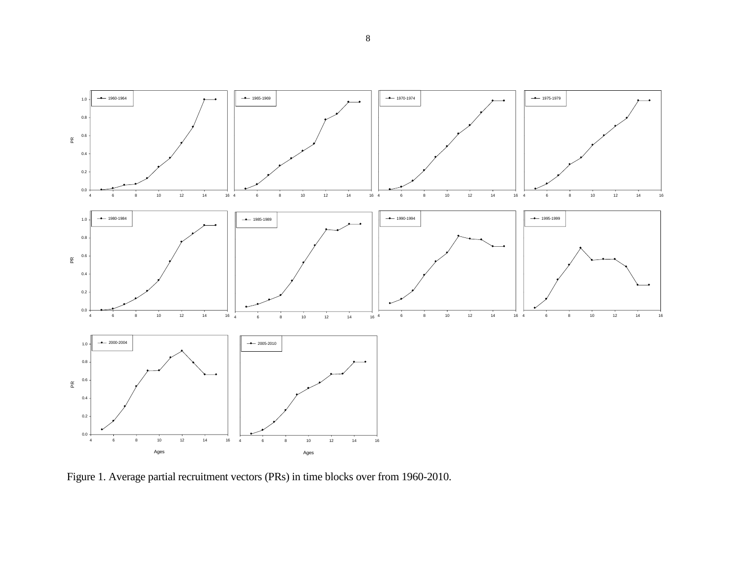

Figure 1. Average partial recruitment vectors (PRs) in time blocks over from 1960-2010.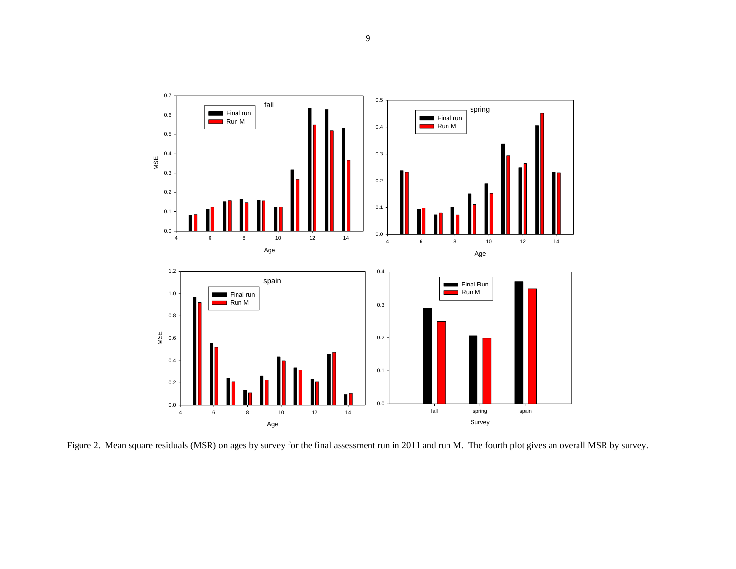

Figure 2. Mean square residuals (MSR) on ages by survey for the final assessment run in 2011 and run M. The fourth plot gives an overall MSR by survey.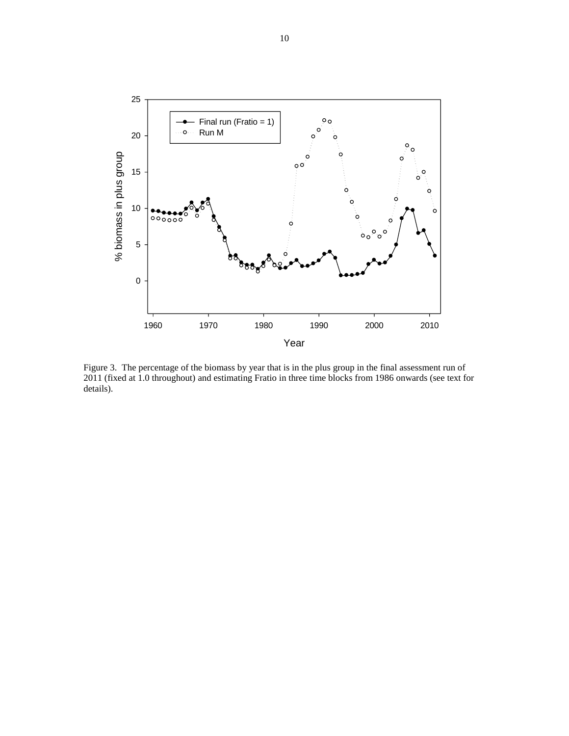

Figure 3. The percentage of the biomass by year that is in the plus group in the final assessment run of 2011 (fixed at 1.0 throughout) and estimating Fratio in three time blocks from 1986 onwards (see text for details).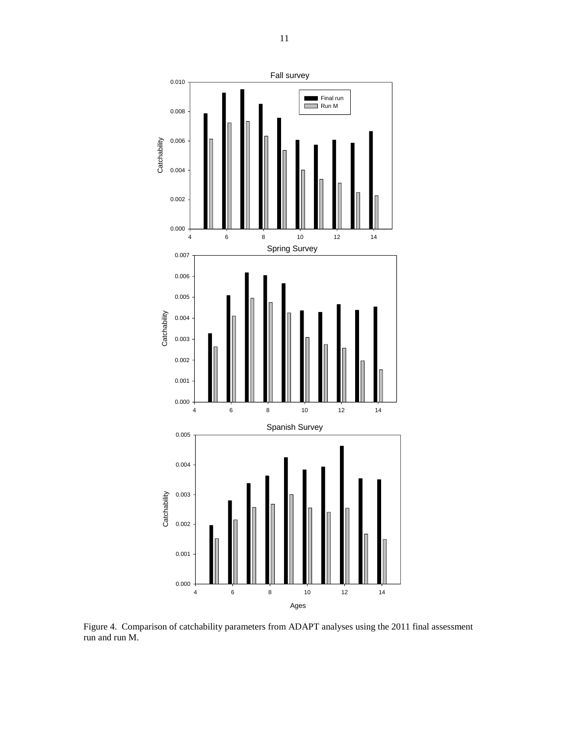

Figure 4. Comparison of catchability parameters from ADAPT analyses using the 2011 final assessment run and run M.